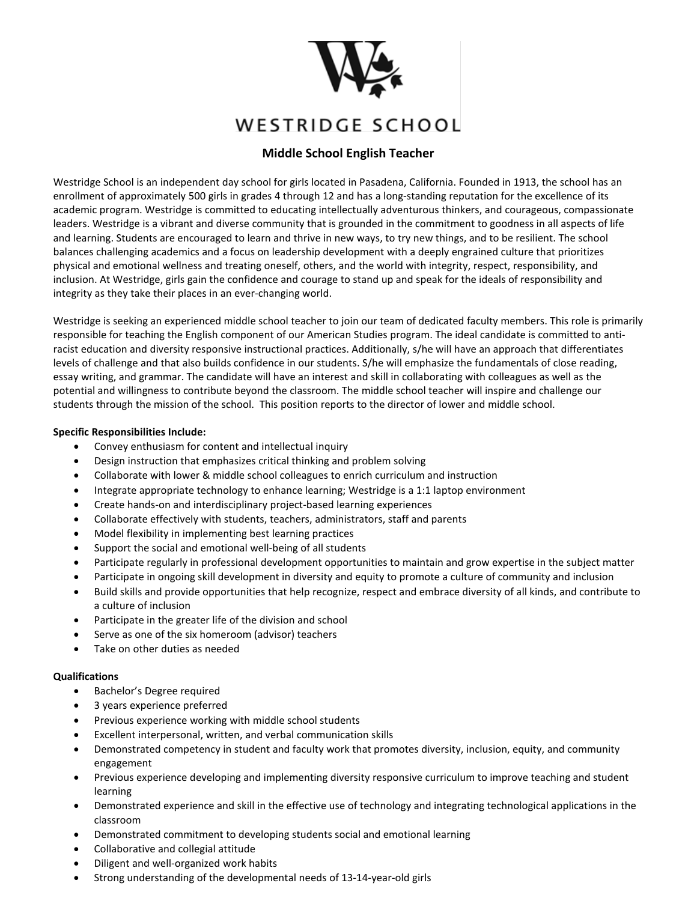

# WESTRIDGE SCHOOL

# **Middle School English Teacher**

Westridge School is an independent day school for girls located in Pasadena, California. Founded in 1913, the school has an enrollment of approximately 500 girls in grades 4 through 12 and has a long-standing reputation for the excellence of its academic program. Westridge is committed to educating intellectually adventurous thinkers, and courageous, compassionate leaders. Westridge is a vibrant and diverse community that is grounded in the commitment to goodness in all aspects of life and learning. Students are encouraged to learn and thrive in new ways, to try new things, and to be resilient. The school balances challenging academics and a focus on leadership development with a deeply engrained culture that prioritizes physical and emotional wellness and treating oneself, others, and the world with integrity, respect, responsibility, and inclusion. At Westridge, girls gain the confidence and courage to stand up and speak for the ideals of responsibility and integrity as they take their places in an ever-changing world.

Westridge is seeking an experienced middle school teacher to join our team of dedicated faculty members. This role is primarily responsible for teaching the English component of our American Studies program. The ideal candidate is committed to antiracist education and diversity responsive instructional practices. Additionally, s/he will have an approach that differentiates levels of challenge and that also builds confidence in our students. S/he will emphasize the fundamentals of close reading, essay writing, and grammar. The candidate will have an interest and skill in collaborating with colleagues as well as the potential and willingness to contribute beyond the classroom. The middle school teacher will inspire and challenge our students through the mission of the school. This position reports to the director of lower and middle school.

# **Specific Responsibilities Include:**

- Convey enthusiasm for content and intellectual inquiry
- Design instruction that emphasizes critical thinking and problem solving
- Collaborate with lower & middle school colleagues to enrich curriculum and instruction
- Integrate appropriate technology to enhance learning; Westridge is a 1:1 laptop environment
- Create hands-on and interdisciplinary project-based learning experiences
- Collaborate effectively with students, teachers, administrators, staff and parents
- Model flexibility in implementing best learning practices
- Support the social and emotional well-being of all students
- Participate regularly in professional development opportunities to maintain and grow expertise in the subject matter
- Participate in ongoing skill development in diversity and equity to promote a culture of community and inclusion
- Build skills and provide opportunities that help recognize, respect and embrace diversity of all kinds, and contribute to a culture of inclusion
- Participate in the greater life of the division and school
- Serve as one of the six homeroom (advisor) teachers
- Take on other duties as needed

# **Qualifications**

- Bachelor's Degree required
- 3 years experience preferred
- Previous experience working with middle school students
- Excellent interpersonal, written, and verbal communication skills
- Demonstrated competency in student and faculty work that promotes diversity, inclusion, equity, and community engagement
- Previous experience developing and implementing diversity responsive curriculum to improve teaching and student learning
- Demonstrated experience and skill in the effective use of technology and integrating technological applications in the classroom
- Demonstrated commitment to developing students social and emotional learning
- Collaborative and collegial attitude
- Diligent and well-organized work habits
- Strong understanding of the developmental needs of 13-14-year-old girls